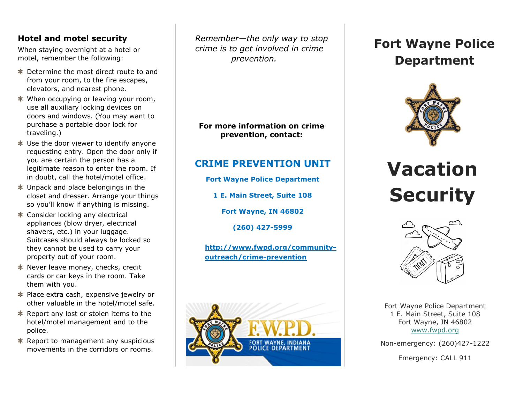#### **Hotel and motel security**

When staying overnight at a hotel or motel, remember the following:

- Determine the most direct route to and from your room, to the fire escapes, elevators, and nearest phone.
- When occupying or leaving your room, use all auxiliary locking devices on doors and windows. (You may want to purchase a portable door lock for traveling.)
- Use the door viewer to identify anyone requesting entry. Open the door only if you are certain the person has a legitimate reason to enter the room. If in doubt, call the hotel/motel office.
- $\ast$  Unpack and place belongings in the closet and dresser. Arrange your things so you'll know if anything is missing.
- Consider locking any electrical appliances (blow dryer, electrical shavers, etc.) in your luggage. Suitcases should always be locked so they cannot be used to carry your property out of your room.
- $\ast$  Never leave money, checks, credit cards or car keys in the room. Take them with you.
- Place extra cash, expensive jewelry or other valuable in the hotel/motel safe.
- **EXECUTE:** Report any lost or stolen items to the hotel/motel management and to the police.
- Report to management any suspicious movements in the corridors or rooms.

 *Remember—the only way to stop crime is to get involved in crime prevention.* 

**For more information on crime prevention, contact:**

### **CRIME PREVENTION UNIT**

**Fort Wayne Police Department**

**1 E. Main Street, Suite 108**

**Fort Wayne, IN 46802**

**(260) 427-5999**

**[http://www.fwpd.org/community](http://www.fwpd.org/community-outreach/crime-prevention)[outreach/crime-prevention](http://www.fwpd.org/community-outreach/crime-prevention)**



## **Fort Wayne Police Department**



# **Vacation Security**



Fort Wayne Police Department 1 E. Main Street, Suite 108 Fort Wayne, IN 46802 [www.fwpd.org](http://www.fwpd.org/)

Non-emergency: (260)427-1222

Emergency: CALL 911